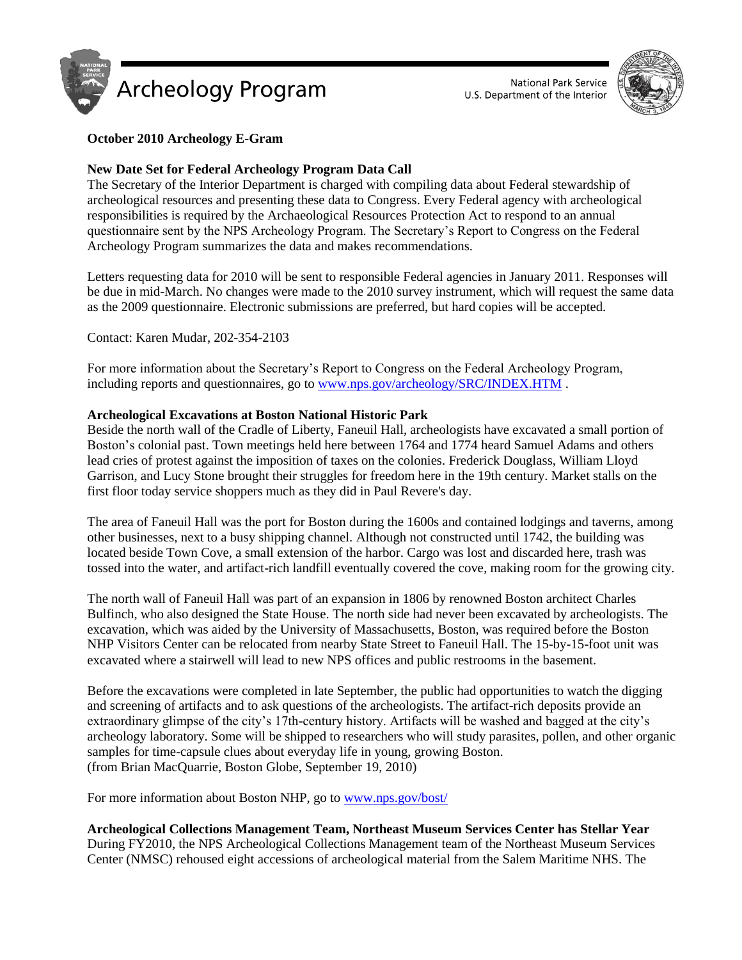



# **October 2010 Archeology E-Gram**

# **New Date Set for Federal Archeology Program Data Call**

The Secretary of the Interior Department is charged with compiling data about Federal stewardship of archeological resources and presenting these data to Congress. Every Federal agency with archeological responsibilities is required by the Archaeological Resources Protection Act to respond to an annual questionnaire sent by the NPS Archeology Program. The Secretary's Report to Congress on the Federal Archeology Program summarizes the data and makes recommendations.

Letters requesting data for 2010 will be sent to responsible Federal agencies in January 2011. Responses will be due in mid-March. No changes were made to the 2010 survey instrument, which will request the same data as the 2009 questionnaire. Electronic submissions are preferred, but hard copies will be accepted.

Contact: Karen Mudar, 202-354-2103

For more information about the Secretary's Report to Congress on the Federal Archeology Program, including reports and questionnaires, go to [www.nps.gov/archeology/SRC/INDEX.HTM](http://www.nps.gov/archeology/SRC/INDEX.HTM) .

## **Archeological Excavations at Boston National Historic Park**

Beside the north wall of the Cradle of Liberty, Faneuil Hall, archeologists have excavated a small portion of Boston's colonial past. Town meetings held here between 1764 and 1774 heard Samuel Adams and others lead cries of protest against the imposition of taxes on the colonies. Frederick Douglass, William Lloyd Garrison, and Lucy Stone brought their struggles for freedom here in the 19th century. Market stalls on the first floor today service shoppers much as they did in Paul Revere's day.

The area of Faneuil Hall was the port for Boston during the 1600s and contained lodgings and taverns, among other businesses, next to a busy shipping channel. Although not constructed until 1742, the building was located beside Town Cove, a small extension of the harbor. Cargo was lost and discarded here, trash was tossed into the water, and artifact-rich landfill eventually covered the cove, making room for the growing city.

The north wall of Faneuil Hall was part of an expansion in 1806 by renowned Boston architect Charles Bulfinch, who also designed the State House. The north side had never been excavated by archeologists. The excavation, which was aided by the University of Massachusetts, Boston, was required before the Boston NHP Visitors Center can be relocated from nearby State Street to Faneuil Hall. The 15-by-15-foot unit was excavated where a stairwell will lead to new NPS offices and public restrooms in the basement.

Before the excavations were completed in late September, the public had opportunities to watch the digging and screening of artifacts and to ask questions of the archeologists. The artifact-rich deposits provide an extraordinary glimpse of the city's 17th-century history. Artifacts will be washed and bagged at the city's archeology laboratory. Some will be shipped to researchers who will study parasites, pollen, and other organic samples for time-capsule clues about everyday life in young, growing Boston. (from Brian MacQuarrie, Boston Globe, September 19, 2010)

For more information about Boston NHP, go t[o www.nps.gov/bost/](http://www.nps.gov/bost/)

# **Archeological Collections Management Team, Northeast Museum Services Center has Stellar Year**

During FY2010, the NPS Archeological Collections Management team of the Northeast Museum Services Center (NMSC) rehoused eight accessions of archeological material from the Salem Maritime NHS. The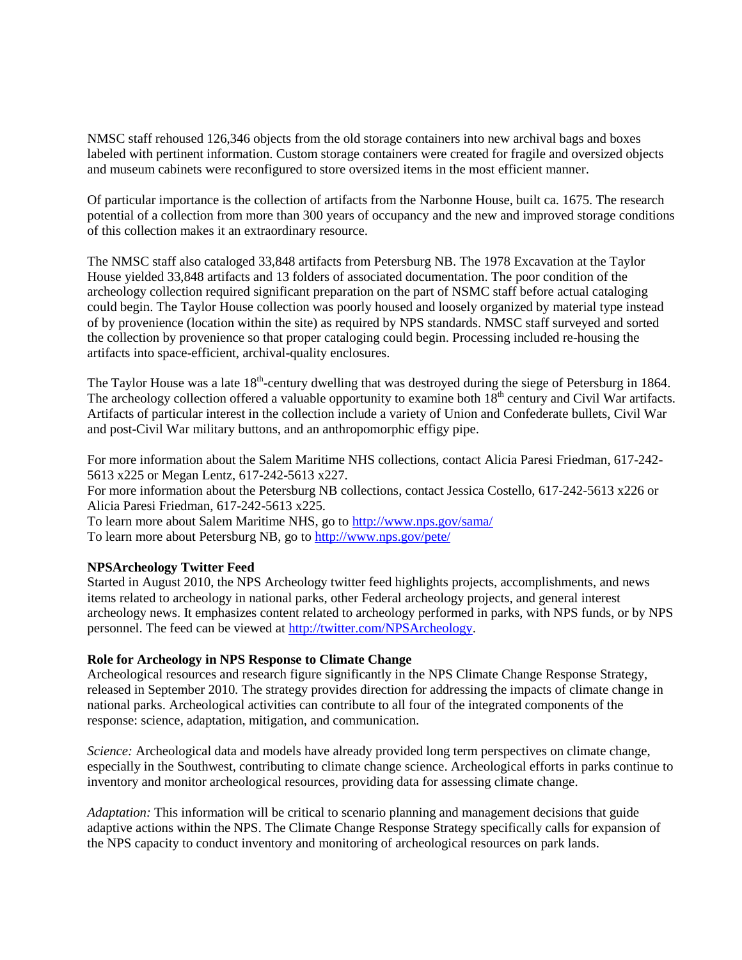NMSC staff rehoused 126,346 objects from the old storage containers into new archival bags and boxes labeled with pertinent information. Custom storage containers were created for fragile and oversized objects and museum cabinets were reconfigured to store oversized items in the most efficient manner.

Of particular importance is the collection of artifacts from the [Narbonne House,](http://www.nps.gov/sama/historyculture/narbonne.htm_) built ca. 1675. The research potential of a collection from more than 300 years of occupancy and the new and improved storage conditions of this collection makes it an extraordinary resource.

The NMSC staff also cataloged 33,848 artifacts from Petersburg NB. The 1978 Excavation at the Taylor House yielded 33,848 artifacts and 13 folders of associated documentation. The poor condition of the archeology collection required significant preparation on the part of NSMC staff before actual cataloging could begin. The Taylor House collection was poorly housed and loosely organized by material type instead of by provenience (location within the site) as required by NPS standards. NMSC staff surveyed and sorted the collection by provenience so that proper cataloging could begin. Processing included re-housing the artifacts into space-efficient, archival-quality enclosures.

The Taylor House was a late  $18<sup>th</sup>$ -century dwelling that was destroyed during the siege of Petersburg in 1864. The archeology collection offered a valuable opportunity to examine both  $18<sup>th</sup>$  century and Civil War artifacts. Artifacts of particular interest in the collection include a variety of Union and Confederate bullets, Civil War and post-Civil War military buttons, and an anthropomorphic effigy pipe.

For more information about the Salem Maritime NHS collections, contact [Alicia Paresi Friedman,](mailto:alicia_friedman@nps.gov_) 617-242- 5613 x225 or [Megan Lentz,](mailto:megan_lentz@nps.gov_) 617-242-5613 x227.

For more information about the Petersburg NB collections, contact Jessica Costello, 617-242-5613 x226 or Alicia Paresi Friedman, 617-242-5613 x225.

To learn more about Salem Maritime NHS, go to<http://www.nps.gov/sama/> To learn more about Petersburg NB, go to<http://www.nps.gov/pete/>

## **NPSArcheology Twitter Feed**

Started in August 2010, the NPS Archeology twitter feed highlights projects, accomplishments, and news items related to archeology in national parks, other Federal archeology projects, and general interest archeology news. It emphasizes content related to archeology performed in parks, with NPS funds, or by NPS personnel. The feed can be viewed at [http://twitter.com/NPSArcheology.](http://twitter.com/NPSArcheology)

## **Role for Archeology in NPS Response to Climate Change**

Archeological resources and research figure significantly in the NPS Climate Change Response Strategy, released in September 2010. The strategy provides direction for addressing the impacts of climate change in national parks. Archeological activities can contribute to all four of the integrated components of the response: science, adaptation, mitigation, and communication.

*Science:* Archeological data and models have already provided long term perspectives on climate change, especially in the Southwest, contributing to climate change science. Archeological efforts in parks continue to inventory and monitor archeological resources, providing data for assessing climate change.

*Adaptation:* This information will be critical to scenario planning and management decisions that guide adaptive actions within the NPS. The Climate Change Response Strategy specifically calls for expansion of the NPS capacity to conduct inventory and monitoring of archeological resources on park lands.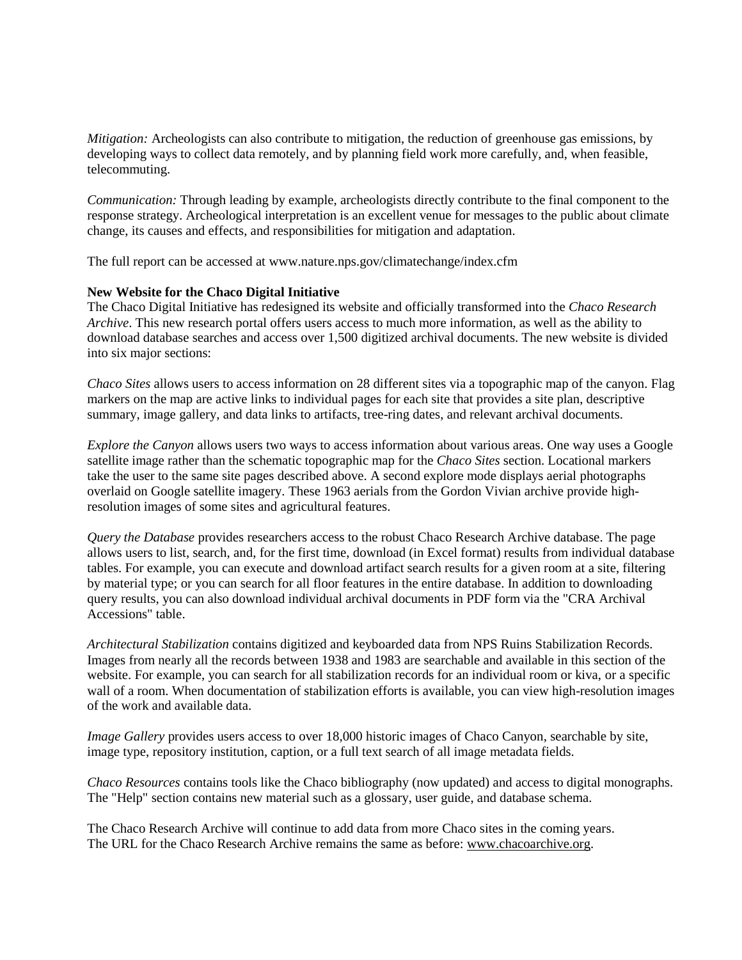*Mitigation:* Archeologists can also contribute to mitigation, the reduction of greenhouse gas emissions, by developing ways to collect data remotely, and by planning field work more carefully, and, when feasible, telecommuting.

*Communication:* Through leading by example, archeologists directly contribute to the final component to the response strategy. Archeological interpretation is an excellent venue for messages to the public about climate change, its causes and effects, and responsibilities for mitigation and adaptation.

The full report can be accessed at www.nature.nps.gov/climatechange/index.cfm

### **New Website for the Chaco Digital Initiative**

The Chaco Digital Initiative has redesigned its website and officially transformed into the *Chaco Research Archive*. This new research portal offers users access to much more information, as well as the ability to download database searches and access over 1,500 digitized archival documents. The new website is divided into six major sections:

*Chaco Sites* allows users to access information on 28 different sites via a topographic map of the canyon. Flag markers on the map are active links to individual pages for each site that provides a site plan, descriptive summary, image gallery, and data links to artifacts, tree-ring dates, and relevant archival documents.

*Explore the Canyon* allows users two ways to access information about various areas. One way uses a Google satellite image rather than the schematic topographic map for the *Chaco Sites* section. Locational markers take the user to the same site pages described above. A second explore mode displays aerial photographs overlaid on Google satellite imagery. These 1963 aerials from the Gordon Vivian archive provide highresolution images of some sites and agricultural features.

*Query the Database* provides researchers access to the robust Chaco Research Archive database. The page allows users to list, search, and, for the first time, download (in Excel format) results from individual database tables. For example, you can execute and download artifact search results for a given room at a site, filtering by material type; or you can search for all floor features in the entire database. In addition to downloading query results, you can also download individual archival documents in PDF form via the "CRA Archival Accessions" table.

*Architectural Stabilization* contains digitized and keyboarded data from NPS Ruins Stabilization Records. Images from nearly all the records between 1938 and 1983 are searchable and available in this section of the website. For example, you can search for all stabilization records for an individual room or kiva, or a specific wall of a room. When documentation of stabilization efforts is available, you can view high-resolution images of the work and available data.

*Image Gallery* provides users access to over 18,000 historic images of Chaco Canyon, searchable by site, image type, repository institution, caption, or a full text search of all image metadata fields.

*Chaco Resources* contains tools like the Chaco bibliography (now updated) and access to digital monographs. The "Help" section contains new material such as a glossary, user guide, and database schema.

The Chaco Research Archive will continue to add data from more Chaco sites in the coming years. The URL for the Chaco Research Archive remains the same as before: [www.chacoarchive.org.](http://www.chacoarchive.org/_)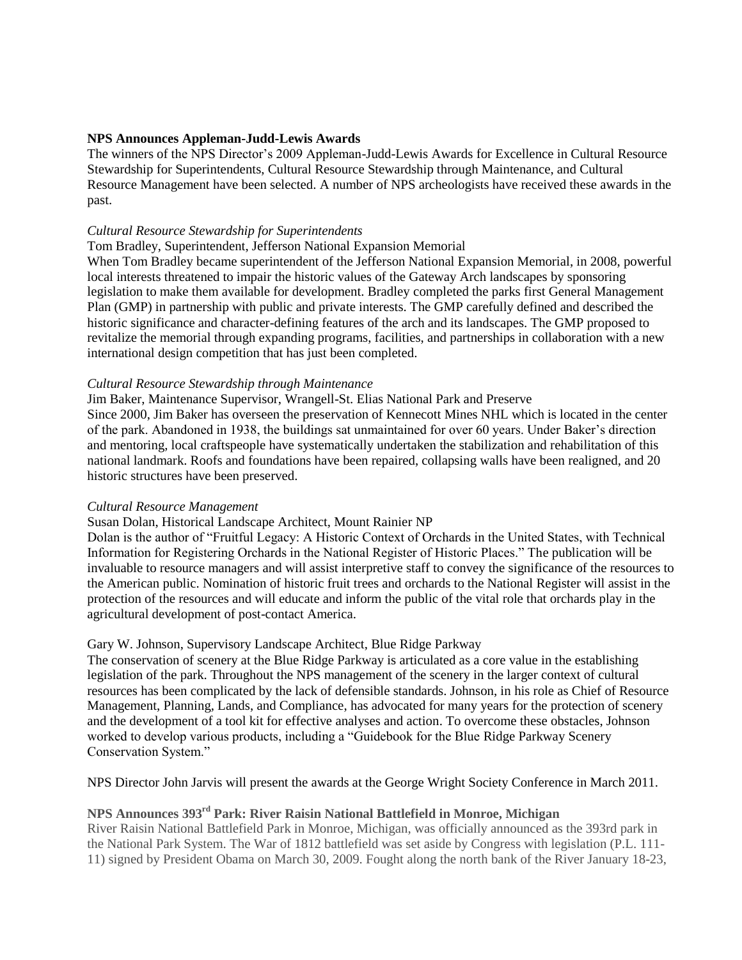### **NPS Announces Appleman-Judd-Lewis Awards**

The winners of the NPS Director's 2009 Appleman-Judd-Lewis Awards for Excellence in Cultural Resource Stewardship for Superintendents, Cultural Resource Stewardship through Maintenance, and Cultural Resource Management have been selected. A number of NPS archeologists have received these awards in the past.

#### *Cultural Resource Stewardship for Superintendents*

### Tom Bradley, Superintendent, Jefferson National Expansion Memorial

When Tom Bradley became superintendent of the Jefferson National Expansion Memorial, in 2008, powerful local interests threatened to impair the historic values of the Gateway Arch landscapes by sponsoring legislation to make them available for development. Bradley completed the parks first General Management Plan (GMP) in partnership with public and private interests. The GMP carefully defined and described the historic significance and character-defining features of the arch and its landscapes. The GMP proposed to revitalize the memorial through expanding programs, facilities, and partnerships in collaboration with a new international design competition that has just been completed.

### *Cultural Resource Stewardship through Maintenance*

Jim Baker, Maintenance Supervisor, Wrangell-St. Elias National Park and Preserve

Since 2000, Jim Baker has overseen the preservation of Kennecott Mines NHL which is located in the center of the park. Abandoned in 1938, the buildings sat unmaintained for over 60 years. Under Baker's direction and mentoring, local craftspeople have systematically undertaken the stabilization and rehabilitation of this national landmark. Roofs and foundations have been repaired, collapsing walls have been realigned, and 20 historic structures have been preserved.

#### *Cultural Resource Management*

#### Susan Dolan, Historical Landscape Architect, Mount Rainier NP

Dolan is the author of "Fruitful Legacy: A Historic Context of Orchards in the United States, with Technical Information for Registering Orchards in the National Register of Historic Places." The publication will be invaluable to resource managers and will assist interpretive staff to convey the significance of the resources to the American public. Nomination of historic fruit trees and orchards to the National Register will assist in the protection of the resources and will educate and inform the public of the vital role that orchards play in the agricultural development of post-contact America.

## Gary W. Johnson, Supervisory Landscape Architect, Blue Ridge Parkway

The conservation of scenery at the Blue Ridge Parkway is articulated as a core value in the establishing legislation of the park. Throughout the NPS management of the scenery in the larger context of cultural resources has been complicated by the lack of defensible standards. Johnson, in his role as Chief of Resource Management, Planning, Lands, and Compliance, has advocated for many years for the protection of scenery and the development of a tool kit for effective analyses and action. To overcome these obstacles, Johnson worked to develop various products, including a "Guidebook for the Blue Ridge Parkway Scenery Conservation System."

NPS Director John Jarvis will present the awards at the George Wright Society Conference in March 2011.

# **NPS Announces 393rd Park: River Raisin National Battlefield in Monroe, Michigan**

River Raisin National Battlefield Park in Monroe, Michigan, was officially announced as the 393rd park in the National Park System. The War of 1812 battlefield was set aside by Congress with legislation (P.L. 111- 11) signed by President Obama on March 30, 2009. Fought along the north bank of the River January 18-23,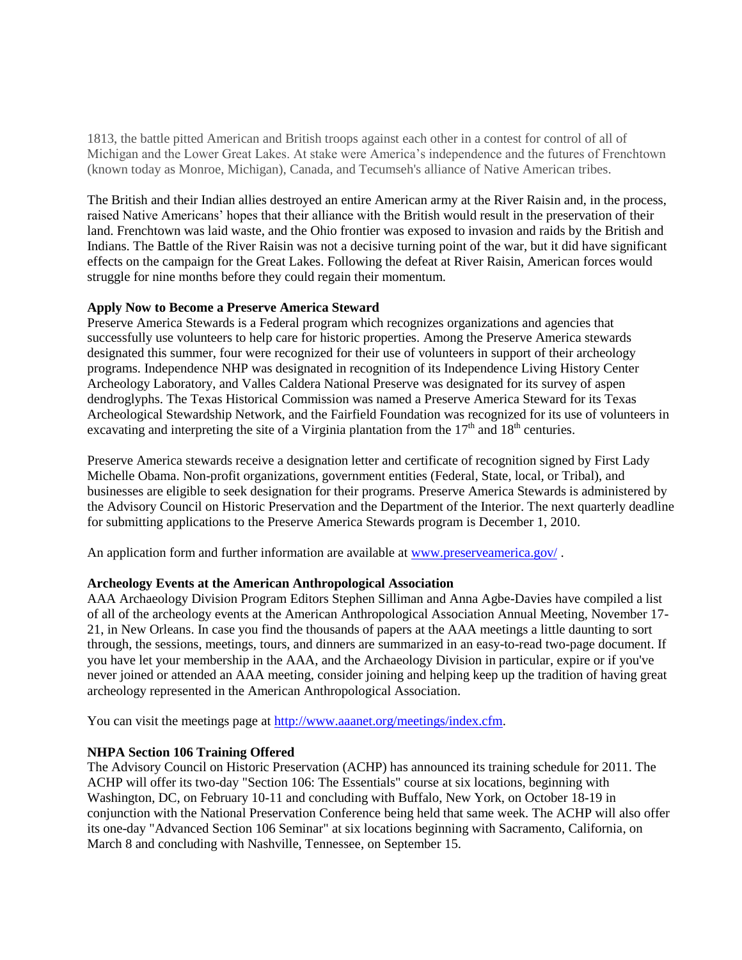1813, the battle pitted American and British troops against each other in a contest for control of all of Michigan and the Lower Great Lakes. At stake were America's independence and the futures of Frenchtown (known today as Monroe, Michigan), Canada, and Tecumseh's alliance of Native American tribes.

The British and their Indian allies destroyed an entire American army at the River Raisin and, in the process, raised Native Americans' hopes that their alliance with the British would result in the preservation of their land. Frenchtown was laid waste, and the Ohio frontier was exposed to invasion and raids by the British and Indians. The Battle of the River Raisin was not a decisive turning point of the war, but it did have significant effects on the campaign for the Great Lakes. Following the defeat at River Raisin, American forces would struggle for nine months before they could regain their momentum.

### **Apply Now to Become a Preserve America Steward**

Preserve America Stewards is a Federal program which recognizes organizations and agencies that successfully use volunteers to help care for historic properties. Among the Preserve America stewards designated this summer, four were recognized for their use of volunteers in support of their archeology programs. Independence NHP was designated in recognition of its Independence Living History Center Archeology Laboratory, and Valles Caldera National Preserve was designated for its survey of aspen dendroglyphs. The Texas Historical Commission was named a Preserve America Steward for its Texas Archeological Stewardship Network, and the Fairfield Foundation was recognized for its use of volunteers in excavating and interpreting the site of a Virginia plantation from the  $17<sup>th</sup>$  and  $18<sup>th</sup>$  centuries.

Preserve America stewards receive a designation letter and certificate of recognition signed by First Lady Michelle Obama. Non-profit organizations, government entities (Federal, State, local, or Tribal), and businesses are eligible to seek designation for their programs. Preserve America Stewards is administered by the Advisory Council on Historic Preservation and the Department of the Interior. The next quarterly deadline for submitting applications to the Preserve America Stewards program is December 1, 2010.

An application form and further information are available at [www.preserveamerica.gov/](http://www.preserveamerica.gov/) .

## **Archeology Events at the American Anthropological Association**

AAA Archaeology Division Program Editors Stephen Silliman and Anna Agbe-Davies have compiled a list of all of the archeology events at the American Anthropological Association Annual Meeting, November 17- 21, in New Orleans. In case you find the thousands of papers at the AAA meetings a little daunting to sort through, the sessions, meetings, tours, and dinners are summarized in an easy-to-read two-page document. If you have let your membership in the AAA, and the Archaeology Division in particular, expire or if you've never joined or attended an AAA meeting, consider joining and helping keep up the tradition of having great archeology represented in the American Anthropological Association.

You can visit the meetings page at [http://www.aaanet.org/meetings/index.cfm.](http://www.aaanet.org/meetings/index.cfm_)

## **NHPA Section 106 Training Offered**

The Advisory Council on Historic Preservation (ACHP) has announced its training schedule for 2011. The ACHP will offer its two-day "Section 106: The Essentials" course at six locations, beginning with Washington, DC, on February 10-11 and concluding with Buffalo, New York, on October 18-19 in conjunction with the National Preservation Conference being held that same week. The ACHP will also offer its one-day "Advanced Section 106 Seminar" at six locations beginning with Sacramento, California, on March 8 and concluding with Nashville, Tennessee, on September 15.